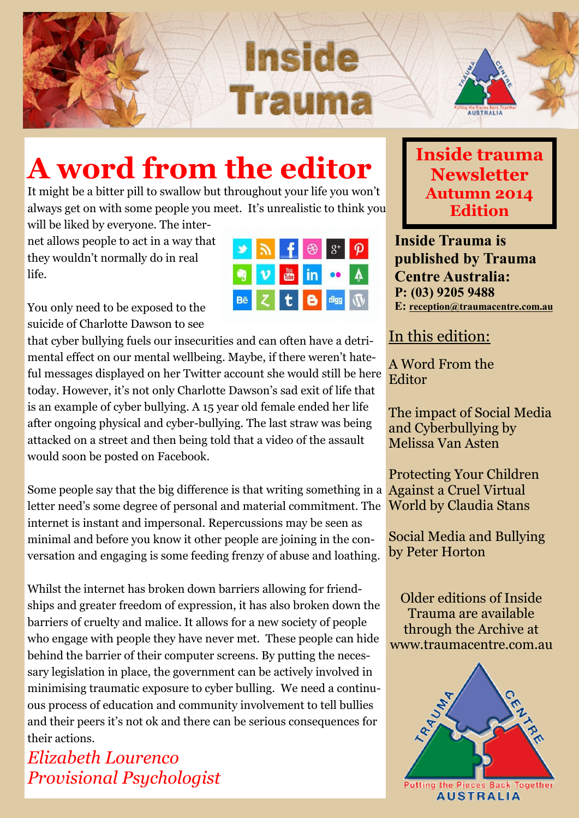



# **A word from the editor**

It might be a bitter pill to swallow but throughout your life you won't always get on with some people you meet. It's unrealistic to think you

will be liked by everyone. The internet allows people to act in a way that they wouldn't normally do in real life.

|           |    |              |                | $\leftarrow$ $\bigotimes$ $S^+$ |  |
|-----------|----|--------------|----------------|---------------------------------|--|
|           | V. |              | <b>Form</b> in |                                 |  |
| <b>Bē</b> |    | $\mathbf{t}$ | $\bullet$      | digg                            |  |

You only need to be exposed to the suicide of Charlotte Dawson to see

that cyber bullying fuels our insecurities and can often have a detrimental effect on our mental wellbeing. Maybe, if there weren't hateful messages displayed on her Twitter account she would still be here today. However, it's not only Charlotte Dawson's sad exit of life that is an example of cyber bullying. A 15 year old female ended her life after ongoing physical and cyber-bullying. The last straw was being attacked on a street and then being told that a video of the assault would soon be posted on Facebook.

Some people say that the big difference is that writing something in a Against a Cruel Virtual letter need's some degree of personal and material commitment. The internet is instant and impersonal. Repercussions may be seen as minimal and before you know it other people are joining in the conversation and engaging is some feeding frenzy of abuse and loathing.

Whilst the internet has broken down barriers allowing for friendships and greater freedom of expression, it has also broken down the barriers of cruelty and malice. It allows for a new society of people who engage with people they have never met. These people can hide behind the barrier of their computer screens. By putting the necessary legislation in place, the government can be actively involved in minimising traumatic exposure to cyber bulling. We need a continuous process of education and community involvement to tell bullies and their peers it's not ok and there can be serious consequences for their actions.

*Elizabeth Lourenco Provisional Psychologist*

#### **Inside trauma Newsletter Autumn 2014 Edition**

**Inside Trauma is published by Trauma Centre Australia: P: (03) 9205 9488 E: [reception@traumacentre.com.au](mailto:reception@traumacentre.com.au)**

In this edition:

A Word From the **Editor** 

The impact of Social Media and Cyberbullying by Melissa Van Asten

Protecting Your Children World by Claudia Stans

Social Media and Bullying by Peter Horton

Older editions of Inside Trauma are available through the Archive at www.traumacentre.com.au

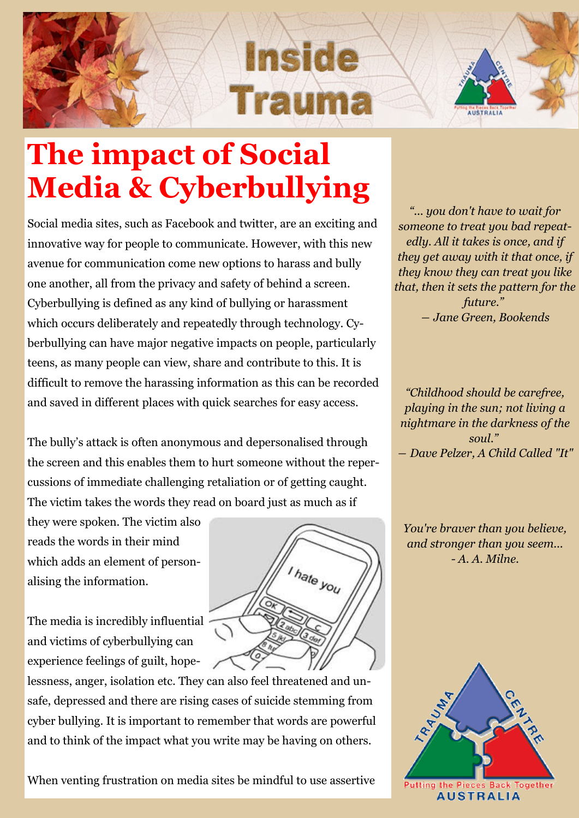



# **The impact of Social Media & Cyberbullying**

Social media sites, such as Facebook and twitter, are an exciting and innovative way for people to communicate. However, with this new avenue for communication come new options to harass and bully one another, all from the privacy and safety of behind a screen. Cyberbullying is defined as any kind of bullying or harassment which occurs deliberately and repeatedly through technology. Cyberbullying can have major negative impacts on people, particularly teens, as many people can view, share and contribute to this. It is difficult to remove the harassing information as this can be recorded and saved in different places with quick searches for easy access.

The bully's attack is often anonymous and depersonalised through the screen and this enables them to hurt someone without the repercussions of immediate challenging retaliation or of getting caught. The victim takes the words they read on board just as much as if

they were spoken. The victim also reads the words in their mind which adds an element of personalising the information.

The media is incredibly influential and victims of cyberbullying can experience feelings of guilt, hope-

lessness, anger, isolation etc. They can also feel threatened and unsafe, depressed and there are rising cases of suicide stemming from cyber bullying. It is important to remember that words are powerful and to think of the impact what you write may be having on others.

When venting frustration on media sites be mindful to use assertive

*"... you don't have to wait for someone to treat you bad repeatedly. All it takes is once, and if they get away with it that once, if they know they can treat you like that, then it sets the pattern for the future." ― [Jane Green,](http://www.goodreads.com/author/show/12915.Jane_Green) Bookends*

*"Childhood should be carefree, playing in the sun; not living a nightmare in the darkness of the soul." ― [Dave Pelzer,](http://www.goodreads.com/author/show/1881.Dave_Pelzer) [A Child Called "It"](http://www.goodreads.com/work/quotes/59104)*

*You're braver than you believe, and stronger than you seem... - A. A. Milne.* 



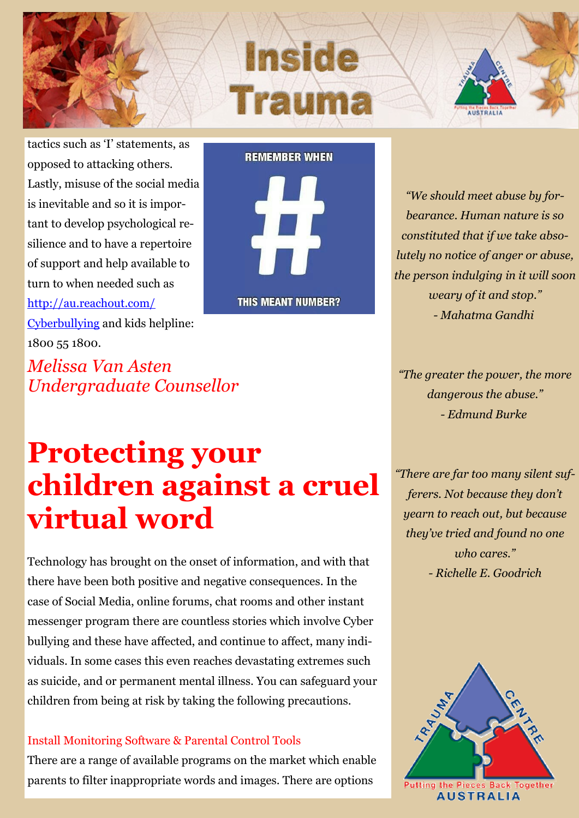





tactics such as 'I' statements, as opposed to attacking others. Lastly, misuse of the social media is inevitable and so it is important to develop psychological resilience and to have a repertoire of support and help available to turn to when needed such as [http://au.reachout.com/](http://au.reachout.com/Cyberbullying)

[Cyberbullying](http://au.reachout.com/Cyberbullying) and kids helpline: 1800 55 1800.

*Melissa Van Asten Undergraduate Counsellor*

**REMEMBER WHEN** 

**THIS MEANT NUMBER?** 

*"We should meet abuse by forbearance. Human nature is so constituted that if we take absolutely no notice of anger or abuse, the person indulging in it will soon weary of it and stop." - Mahatma Gandhi*

*"The greater the power, the more dangerous the abuse." - Edmund Burke*

#### *"There are far too many silent sufferers. Not because they don't yearn to reach out, but because they've tried and found no one who cares." - Richelle E. Goodrich*



# **Protecting your children against a cruel virtual word**

Technology has brought on the onset of information, and with that there have been both positive and negative consequences. In the case of Social Media, online forums, chat rooms and other instant messenger program there are countless stories which involve Cyber bullying and these have affected, and continue to affect, many individuals. In some cases this even reaches devastating extremes such as suicide, and or permanent mental illness. You can safeguard your children from being at risk by taking the following precautions.

#### Install Monitoring Software & Parental Control Tools

There are a range of available programs on the market which enable parents to filter inappropriate words and images. There are options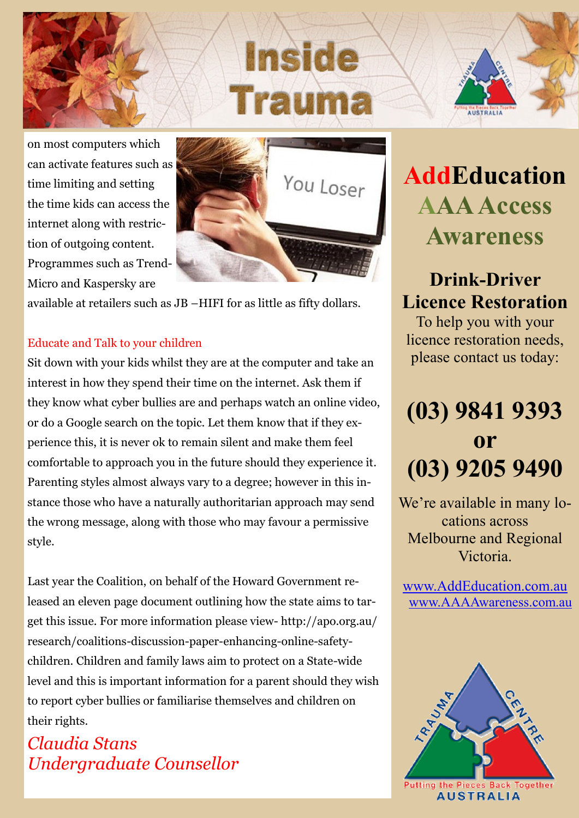# Inside



on most computers which can activate features such as time limiting and setting the time kids can access the internet along with restriction of outgoing content. Programmes such as Trend-Micro and Kaspersky are



available at retailers such as JB –HIFI for as little as fifty dollars.

#### Educate and Talk to your children

Sit down with your kids whilst they are at the computer and take an interest in how they spend their time on the internet. Ask them if they know what cyber bullies are and perhaps watch an online video, or do a Google search on the topic. Let them know that if they experience this, it is never ok to remain silent and make them feel comfortable to approach you in the future should they experience it. Parenting styles almost always vary to a degree; however in this instance those who have a naturally authoritarian approach may send the wrong message, along with those who may favour a permissive style.

Last year the Coalition, on behalf of the Howard Government released an eleven page document outlining how the state aims to target this issue. For more information please view- http://apo.org.au/ research/coalitions-discussion-paper-enhancing-online-safetychildren. Children and family laws aim to protect on a State-wide level and this is important information for a parent should they wish to report cyber bullies or familiarise themselves and children on their rights.

#### *Claudia Stans Undergraduate Counsellor*

## **AddEducation AAA Access Awareness**

#### **Drink-Driver Licence Restoration**

To help you with your licence restoration needs, please contact us today:

## **(03) 9841 9393 or (03) 9205 9490**

We're available in many locations across Melbourne and Regional Victoria.

[www.AddEducation.com.au](http://www.AddEducation.com.au)  [www.AAAAwareness.com.au](http://www.AAAAwareness.com.au)

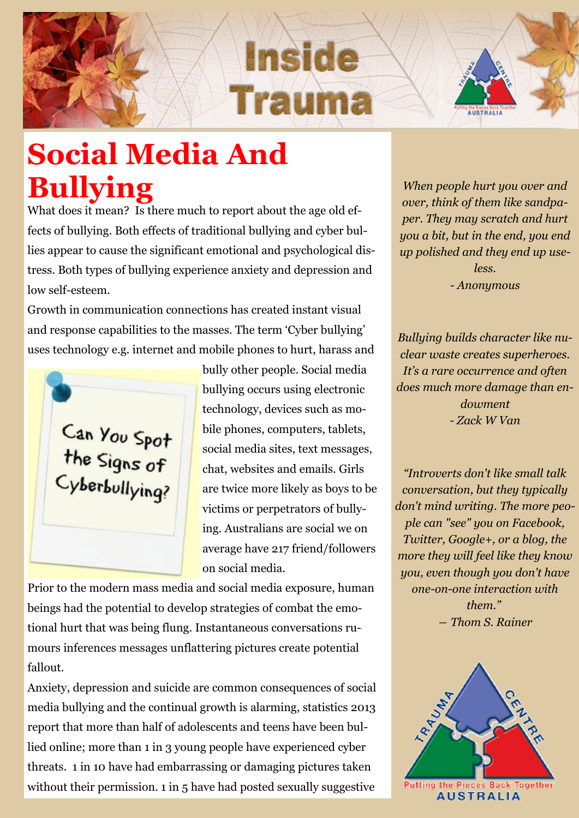# Incide Traum



# **Social Media And Bullying**

What does it mean? Is there much to report about the age old effects of bullying. Both effects of traditional bullying and cyber bullies appear to cause the significant emotional and psychological distress. Both types of bullying experience anxiety and depression and low self-esteem.

Growth in communication connections has created instant visual and response capabilities to the masses. The term 'Cyber bullying' uses technology e.g. internet and mobile phones to hurt, harass and



bully other people. Social media bullying occurs using electronic technology, devices such as mobile phones, computers, tablets, social media sites, text messages, chat, websites and emails. Girls are twice more likely as boys to be victims or perpetrators of bullying. Australians are social we on average have 217 friend/followers on social media.

Prior to the modern mass media and social media exposure, human beings had the potential to develop strategies of combat the emotional hurt that was being flung. Instantaneous conversations rumours inferences messages unflattering pictures create potential fallout.

Anxiety, depression and suicide are common consequences of social media bullying and the continual growth is alarming, statistics 2013 report that more than half of adolescents and teens have been bullied online; more than 1 in 3 young people have experienced cyber threats. 1 in 10 have had embarrassing or damaging pictures taken without their permission. 1 in 5 have had posted sexually suggestive

*When people hurt you over and over, think of them like sandpaper. They may scratch and hurt you a bit, but in the end, you end up polished and they end up useless. - Anonymous*

*Bullying builds character like nuclear waste creates superheroes. It's a rare occurrence and often does much more damage than endowment - Zack W Van*

*"Introverts don't like small talk conversation, but they typically don't mind writing. The more people can "see" you on Facebook, Twitter, Google+, or a blog, the more they will feel like they know you, even though you don't have one-on-one interaction with them." ― [Thom S. Rainer](http://www.goodreads.com/author/show/27470.Thom_S_Rainer)*